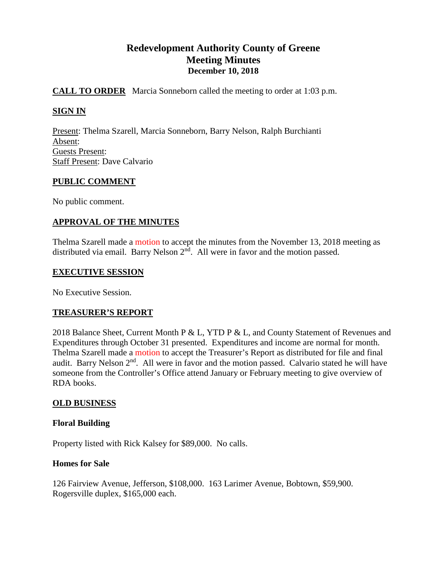# **Redevelopment Authority County of Greene Meeting Minutes December 10, 2018**

# **CALL TO ORDER** Marcia Sonneborn called the meeting to order at 1:03 p.m.

# **SIGN IN**

Present: Thelma Szarell, Marcia Sonneborn, Barry Nelson, Ralph Burchianti Absent: Guests Present: Staff Present: Dave Calvario

### **PUBLIC COMMENT**

No public comment.

# **APPROVAL OF THE MINUTES**

Thelma Szarell made a motion to accept the minutes from the November 13, 2018 meeting as distributed via email. Barry Nelson  $2<sup>nd</sup>$ . All were in favor and the motion passed.

### **EXECUTIVE SESSION**

No Executive Session.

### **TREASURER'S REPORT**

2018 Balance Sheet, Current Month P & L, YTD P & L, and County Statement of Revenues and Expenditures through October 31 presented. Expenditures and income are normal for month. Thelma Szarell made a motion to accept the Treasurer's Report as distributed for file and final audit. Barry Nelson 2<sup>nd</sup>. All were in favor and the motion passed. Calvario stated he will have someone from the Controller's Office attend January or February meeting to give overview of RDA books.

### **OLD BUSINESS**

### **Floral Building**

Property listed with Rick Kalsey for \$89,000. No calls.

### **Homes for Sale**

126 Fairview Avenue, Jefferson, \$108,000. 163 Larimer Avenue, Bobtown, \$59,900. Rogersville duplex, \$165,000 each.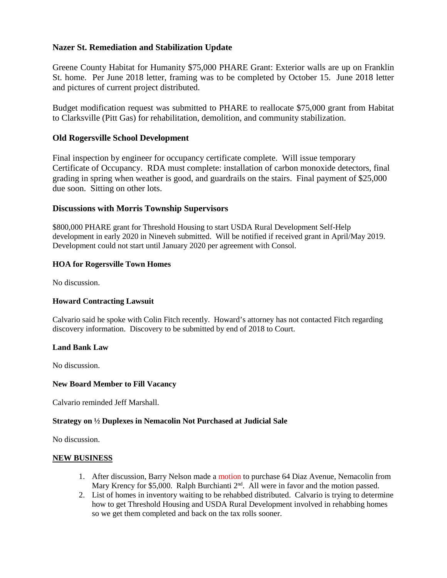## **Nazer St. Remediation and Stabilization Update**

Greene County Habitat for Humanity \$75,000 PHARE Grant: Exterior walls are up on Franklin St. home. Per June 2018 letter, framing was to be completed by October 15. June 2018 letter and pictures of current project distributed.

Budget modification request was submitted to PHARE to reallocate \$75,000 grant from Habitat to Clarksville (Pitt Gas) for rehabilitation, demolition, and community stabilization.

### **Old Rogersville School Development**

Final inspection by engineer for occupancy certificate complete. Will issue temporary Certificate of Occupancy. RDA must complete: installation of carbon monoxide detectors, final grading in spring when weather is good, and guardrails on the stairs. Final payment of \$25,000 due soon. Sitting on other lots.

#### **Discussions with Morris Township Supervisors**

\$800,000 PHARE grant for Threshold Housing to start USDA Rural Development Self-Help development in early 2020 in Nineveh submitted. Will be notified if received grant in April/May 2019. Development could not start until January 2020 per agreement with Consol.

#### **HOA for Rogersville Town Homes**

No discussion.

#### **Howard Contracting Lawsuit**

Calvario said he spoke with Colin Fitch recently. Howard's attorney has not contacted Fitch regarding discovery information. Discovery to be submitted by end of 2018 to Court.

#### **Land Bank Law**

No discussion.

#### **New Board Member to Fill Vacancy**

Calvario reminded Jeff Marshall.

#### **Strategy on ½ Duplexes in Nemacolin Not Purchased at Judicial Sale**

No discussion.

#### **NEW BUSINESS**

- 1. After discussion, Barry Nelson made a motion to purchase 64 Diaz Avenue, Nemacolin from Mary Krency for \$5,000. Ralph Burchianti  $2<sup>nd</sup>$ . All were in favor and the motion passed.
- 2. List of homes in inventory waiting to be rehabbed distributed. Calvario is trying to determine how to get Threshold Housing and USDA Rural Development involved in rehabbing homes so we get them completed and back on the tax rolls sooner.